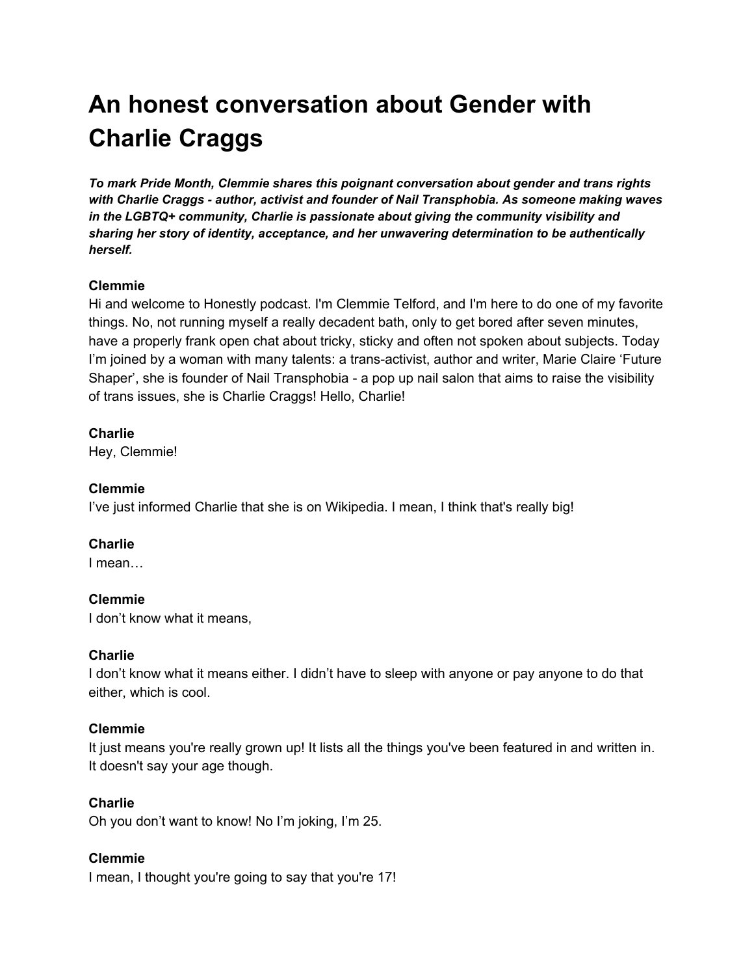# **An honest conversation about Gender with Charlie Craggs**

*To mark Pride Month, Clemmie shares this poignant conversation about gender and trans rights with Charlie Craggs - author, activist and founder of Nail Transphobia. As someone making waves in the LGBTQ+ community, Charlie is passionate about giving the community visibility and sharing her story of identity, acceptance, and her unwavering determination to be authentically herself.*

## **Clemmie**

Hi and welcome to Honestly podcast. I'm Clemmie Telford, and I'm here to do one of my favorite things. No, not running myself a really decadent bath, only to get bored after seven minutes, have a properly frank open chat about tricky, sticky and often not spoken about subjects. Today I'm joined by a woman with many talents: a trans-activist, author and writer, Marie Claire 'Future Shaper', she is founder of Nail Transphobia - a pop up nail salon that aims to raise the visibility of trans issues, she is Charlie Craggs! Hello, Charlie!

## **Charlie**

Hey, Clemmie!

## **Clemmie**

I've just informed Charlie that she is on Wikipedia. I mean, I think that's really big!

## **Charlie**

I mean…

## **Clemmie**

I don't know what it means,

#### **Charlie**

I don't know what it means either. I didn't have to sleep with anyone or pay anyone to do that either, which is cool.

## **Clemmie**

It just means you're really grown up! It lists all the things you've been featured in and written in. It doesn't say your age though.

## **Charlie**

Oh you don't want to know! No I'm joking, I'm 25.

## **Clemmie**

I mean, I thought you're going to say that you're 17!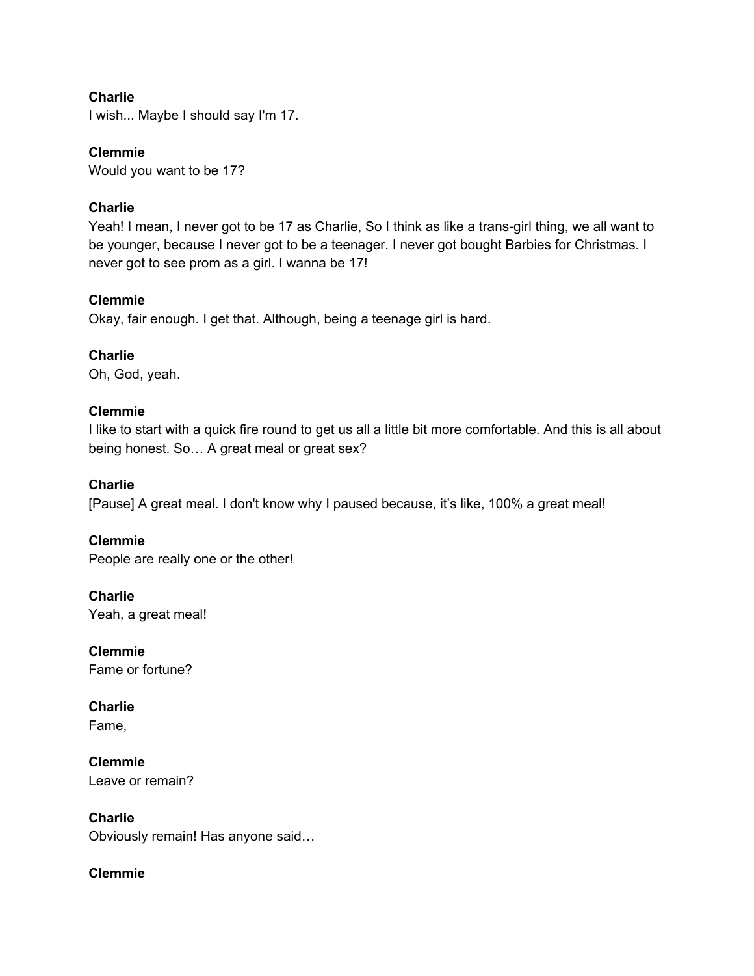#### **Charlie**

I wish... Maybe I should say I'm 17.

## **Clemmie**

Would you want to be 17?

## **Charlie**

Yeah! I mean, I never got to be 17 as Charlie, So I think as like a trans-girl thing, we all want to be younger, because I never got to be a teenager. I never got bought Barbies for Christmas. I never got to see prom as a girl. I wanna be 17!

## **Clemmie**

Okay, fair enough. I get that. Although, being a teenage girl is hard.

## **Charlie**

Oh, God, yeah.

## **Clemmie**

I like to start with a quick fire round to get us all a little bit more comfortable. And this is all about being honest. So… A great meal or great sex?

## **Charlie**

[Pause] A great meal. I don't know why I paused because, it's like, 100% a great meal!

**Clemmie** People are really one or the other!

**Charlie** Yeah, a great meal!

**Clemmie** Fame or fortune?

**Charlie** Fame,

**Clemmie** Leave or remain?

**Charlie** Obviously remain! Has anyone said…

## **Clemmie**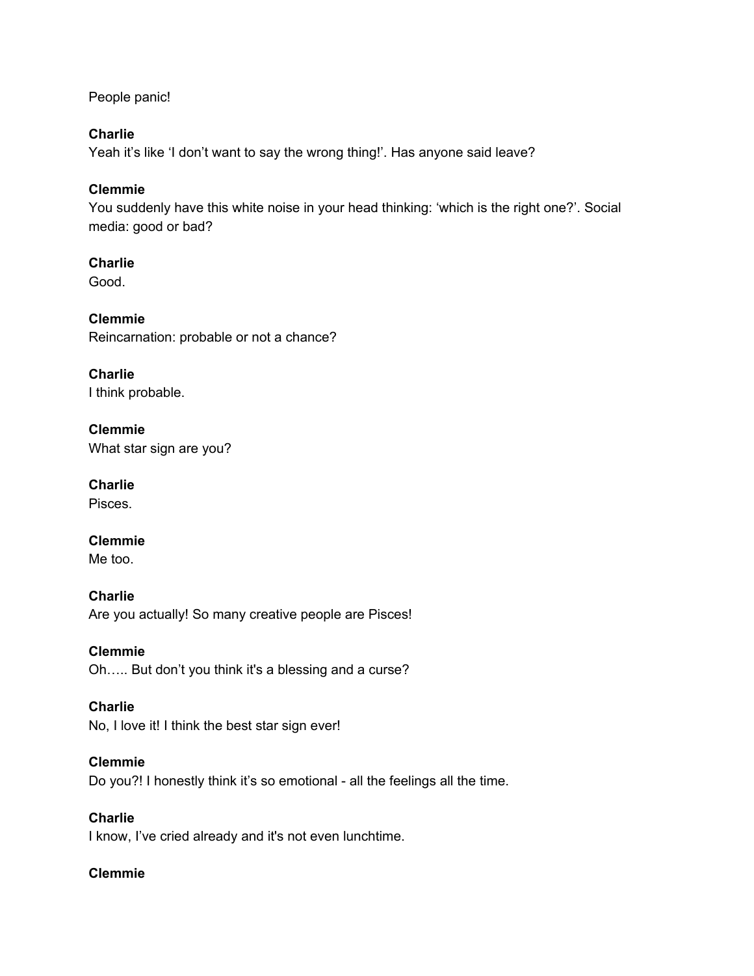People panic!

## **Charlie**

Yeah it's like 'I don't want to say the wrong thing!'. Has anyone said leave?

## **Clemmie**

You suddenly have this white noise in your head thinking: 'which is the right one?'. Social media: good or bad?

## **Charlie**

Good.

**Clemmie** Reincarnation: probable or not a chance?

**Charlie** I think probable.

**Clemmie** What star sign are you?

**Charlie** Pisces.

**Clemmie** Me too.

**Charlie** Are you actually! So many creative people are Pisces!

**Clemmie** Oh….. But don't you think it's a blessing and a curse?

## **Charlie**

No, I love it! I think the best star sign ever!

#### **Clemmie**

Do you?! I honestly think it's so emotional - all the feelings all the time.

## **Charlie**

I know, I've cried already and it's not even lunchtime.

## **Clemmie**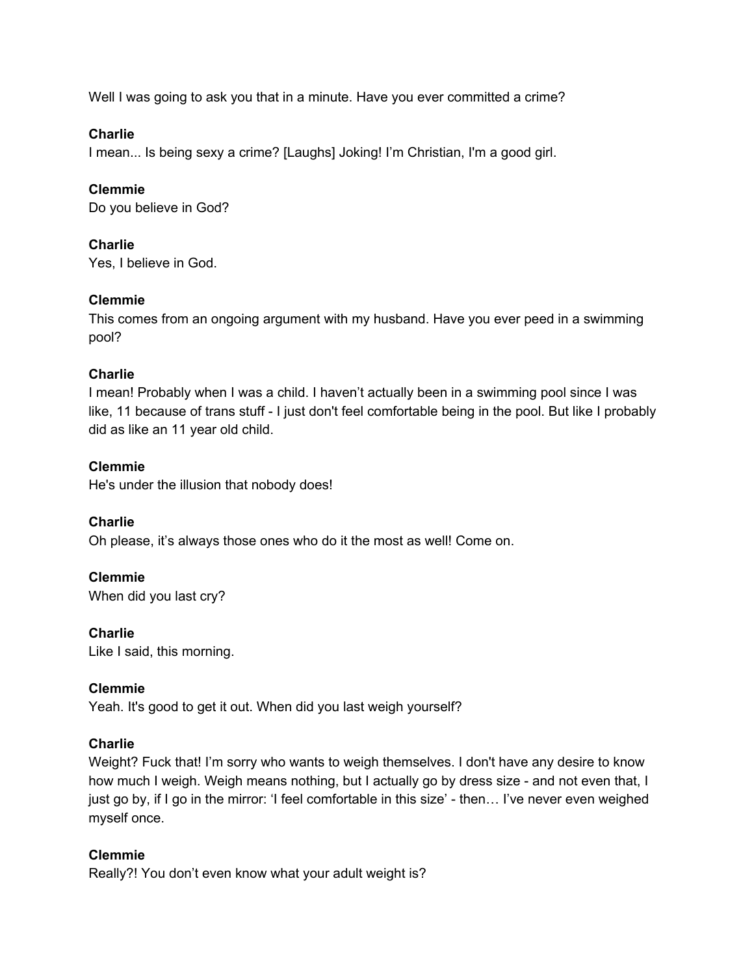Well I was going to ask you that in a minute. Have you ever committed a crime?

## **Charlie**

I mean... Is being sexy a crime? [Laughs] Joking! I'm Christian, I'm a good girl.

## **Clemmie**

Do you believe in God?

## **Charlie**

Yes, I believe in God.

## **Clemmie**

This comes from an ongoing argument with my husband. Have you ever peed in a swimming pool?

## **Charlie**

I mean! Probably when I was a child. I haven't actually been in a swimming pool since I was like, 11 because of trans stuff - I just don't feel comfortable being in the pool. But like I probably did as like an 11 year old child.

## **Clemmie**

He's under the illusion that nobody does!

**Charlie** Oh please, it's always those ones who do it the most as well! Come on.

## **Clemmie** When did you last cry?

**Charlie** Like I said, this morning.

## **Clemmie**

Yeah. It's good to get it out. When did you last weigh yourself?

## **Charlie**

Weight? Fuck that! I'm sorry who wants to weigh themselves. I don't have any desire to know how much I weigh. Weigh means nothing, but I actually go by dress size - and not even that, I just go by, if I go in the mirror: 'I feel comfortable in this size' - then… I've never even weighed myself once.

## **Clemmie**

Really?! You don't even know what your adult weight is?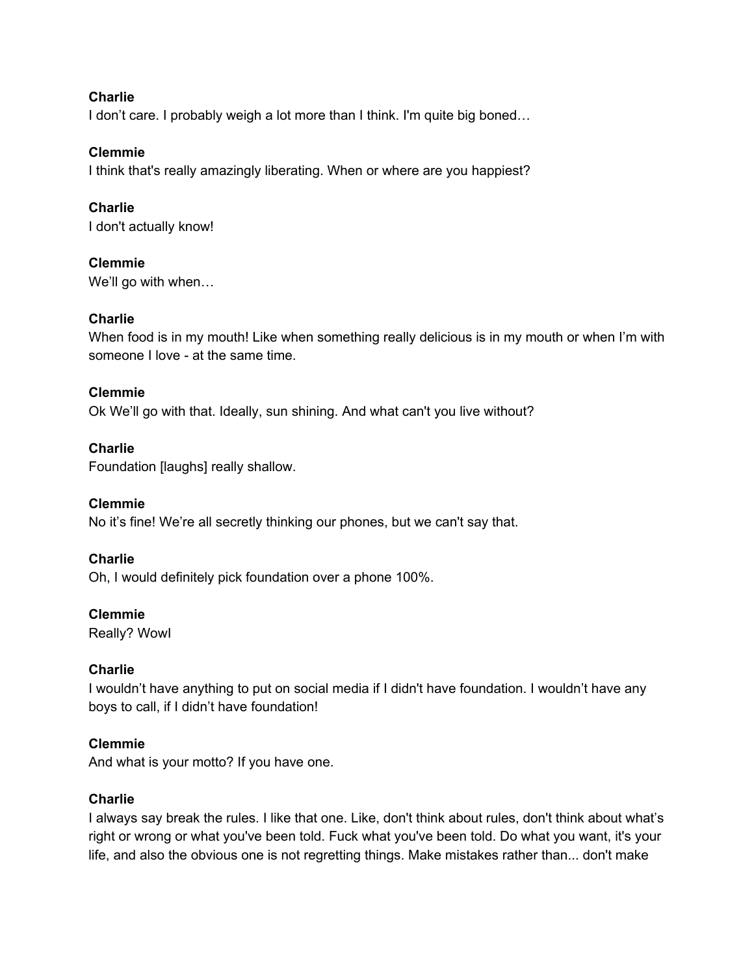#### **Charlie**

I don't care. I probably weigh a lot more than I think. I'm quite big boned...

## **Clemmie**

I think that's really amazingly liberating. When or where are you happiest?

## **Charlie**

I don't actually know!

## **Clemmie**

We'll go with when…

## **Charlie**

When food is in my mouth! Like when something really delicious is in my mouth or when I'm with someone I love - at the same time.

## **Clemmie**

Ok We'll go with that. Ideally, sun shining. And what can't you live without?

## **Charlie**

Foundation [laughs] really shallow.

## **Clemmie**

No it's fine! We're all secretly thinking our phones, but we can't say that.

## **Charlie**

Oh, I would definitely pick foundation over a phone 100%.

#### **Clemmie**

Really? WowI

## **Charlie**

I wouldn't have anything to put on social media if I didn't have foundation. I wouldn't have any boys to call, if I didn't have foundation!

## **Clemmie**

And what is your motto? If you have one.

## **Charlie**

I always say break the rules. I like that one. Like, don't think about rules, don't think about what's right or wrong or what you've been told. Fuck what you've been told. Do what you want, it's your life, and also the obvious one is not regretting things. Make mistakes rather than... don't make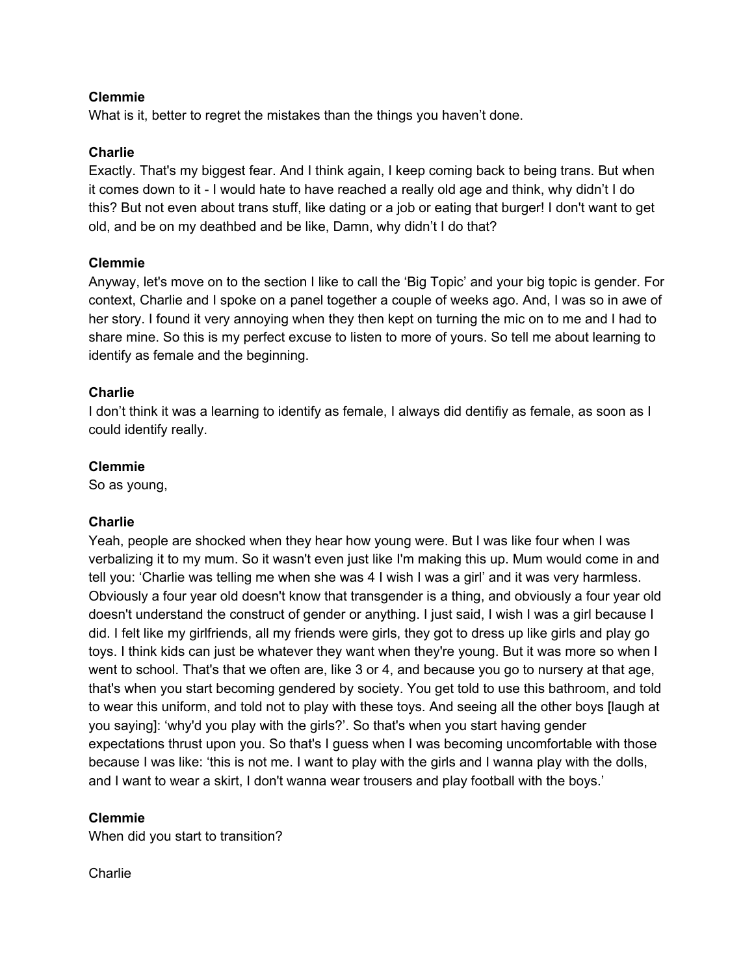What is it, better to regret the mistakes than the things you haven't done.

#### **Charlie**

Exactly. That's my biggest fear. And I think again, I keep coming back to being trans. But when it comes down to it - I would hate to have reached a really old age and think, why didn't I do this? But not even about trans stuff, like dating or a job or eating that burger! I don't want to get old, and be on my deathbed and be like, Damn, why didn't I do that?

## **Clemmie**

Anyway, let's move on to the section I like to call the 'Big Topic' and your big topic is gender. For context, Charlie and I spoke on a panel together a couple of weeks ago. And, I was so in awe of her story. I found it very annoying when they then kept on turning the mic on to me and I had to share mine. So this is my perfect excuse to listen to more of yours. So tell me about learning to identify as female and the beginning.

## **Charlie**

I don't think it was a learning to identify as female, I always did dentifiy as female, as soon as I could identify really.

## **Clemmie**

So as young,

## **Charlie**

Yeah, people are shocked when they hear how young were. But I was like four when I was verbalizing it to my mum. So it wasn't even just like I'm making this up. Mum would come in and tell you: 'Charlie was telling me when she was 4 I wish I was a girl' and it was very harmless. Obviously a four year old doesn't know that transgender is a thing, and obviously a four year old doesn't understand the construct of gender or anything. I just said, I wish I was a girl because I did. I felt like my girlfriends, all my friends were girls, they got to dress up like girls and play go toys. I think kids can just be whatever they want when they're young. But it was more so when I went to school. That's that we often are, like 3 or 4, and because you go to nursery at that age, that's when you start becoming gendered by society. You get told to use this bathroom, and told to wear this uniform, and told not to play with these toys. And seeing all the other boys [laugh at you saying]: 'why'd you play with the girls?'. So that's when you start having gender expectations thrust upon you. So that's I guess when I was becoming uncomfortable with those because I was like: 'this is not me. I want to play with the girls and I wanna play with the dolls, and I want to wear a skirt, I don't wanna wear trousers and play football with the boys.'

#### **Clemmie**

When did you start to transition?

#### **Charlie**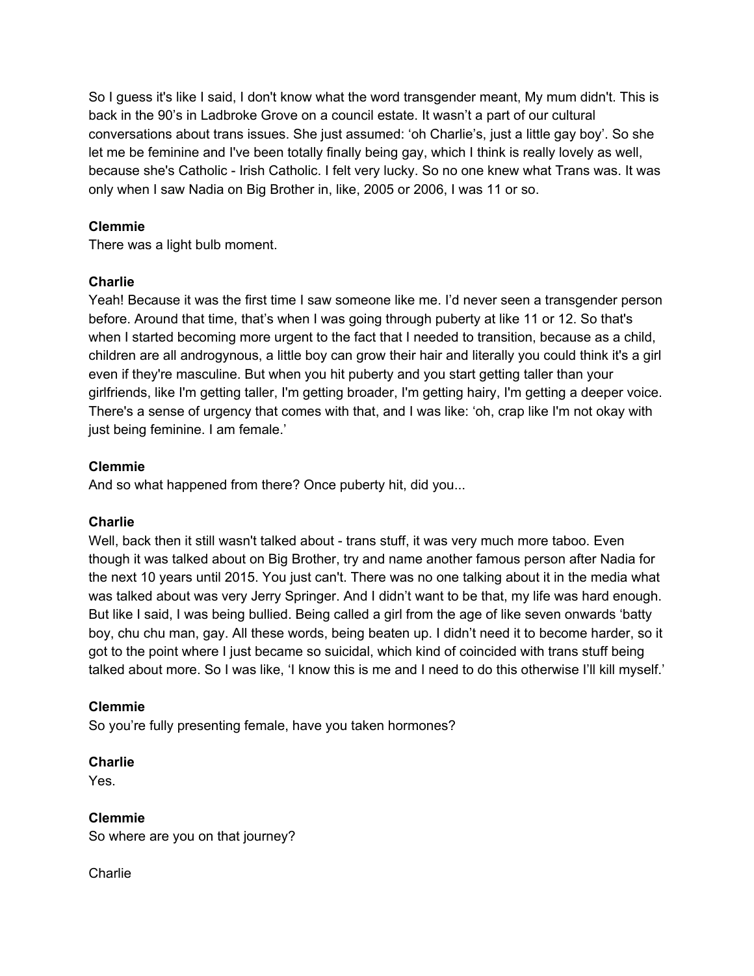So I guess it's like I said, I don't know what the word transgender meant, My mum didn't. This is back in the 90's in Ladbroke Grove on a council estate. It wasn't a part of our cultural conversations about trans issues. She just assumed: 'oh Charlie's, just a little gay boy'. So she let me be feminine and I've been totally finally being gay, which I think is really lovely as well, because she's Catholic - Irish Catholic. I felt very lucky. So no one knew what Trans was. It was only when I saw Nadia on Big Brother in, like, 2005 or 2006, I was 11 or so.

## **Clemmie**

There was a light bulb moment.

## **Charlie**

Yeah! Because it was the first time I saw someone like me. I'd never seen a transgender person before. Around that time, that's when I was going through puberty at like 11 or 12. So that's when I started becoming more urgent to the fact that I needed to transition, because as a child, children are all androgynous, a little boy can grow their hair and literally you could think it's a girl even if they're masculine. But when you hit puberty and you start getting taller than your girlfriends, like I'm getting taller, I'm getting broader, I'm getting hairy, I'm getting a deeper voice. There's a sense of urgency that comes with that, and I was like: 'oh, crap like I'm not okay with just being feminine. I am female.'

## **Clemmie**

And so what happened from there? Once puberty hit, did you...

## **Charlie**

Well, back then it still wasn't talked about - trans stuff, it was very much more taboo. Even though it was talked about on Big Brother, try and name another famous person after Nadia for the next 10 years until 2015. You just can't. There was no one talking about it in the media what was talked about was very Jerry Springer. And I didn't want to be that, my life was hard enough. But like I said, I was being bullied. Being called a girl from the age of like seven onwards 'batty boy, chu chu man, gay. All these words, being beaten up. I didn't need it to become harder, so it got to the point where I just became so suicidal, which kind of coincided with trans stuff being talked about more. So I was like, 'I know this is me and I need to do this otherwise I'll kill myself.'

#### **Clemmie**

So you're fully presenting female, have you taken hormones?

#### **Charlie**

Yes.

## **Clemmie**

So where are you on that journey?

**Charlie**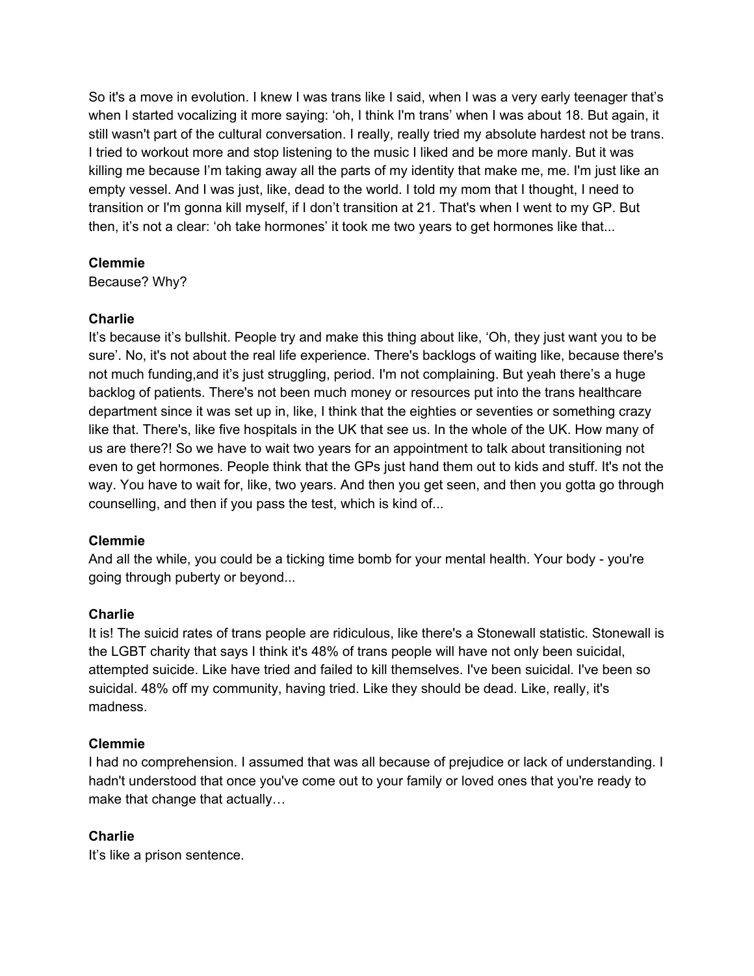So it's a move in evolution. I knew I was trans like I said, when I was a very early teenager that's when I started vocalizing it more saying: 'oh, I think I'm trans' when I was about 18. But again, it still wasn't part of the cultural conversation. I really, really tried my absolute hardest not be trans. I tried to workout more and stop listening to the music I liked and be more manly. But it was killing me because I'm taking away all the parts of my identity that make me, me. I'm just like an empty vessel. And I was just, like, dead to the world. I told my mom that I thought, I need to transition or I'm gonna kill myself, if I don't transition at 21. That's when I went to my GP. But then, it's not a clear: 'oh take hormones' it took me two years to get hormones like that...

## **Clemmie**

Because? Why?

## **Charlie**

It's because it's bullshit. People try and make this thing about like, 'Oh, they just want you to be sure'. No, it's not about the real life experience. There's backlogs of waiting like, because there's not much funding,and it's just struggling, period. I'm not complaining. But yeah there's a huge backlog of patients. There's not been much money or resources put into the trans healthcare department since it was set up in, like, I think that the eighties or seventies or something crazy like that. There's, like five hospitals in the UK that see us. In the whole of the UK. How many of us are there?! So we have to wait two years for an appointment to talk about transitioning not even to get hormones. People think that the GPs just hand them out to kids and stuff. It's not the way. You have to wait for, like, two years. And then you get seen, and then you gotta go through counselling, and then if you pass the test, which is kind of...

## **Clemmie**

And all the while, you could be a ticking time bomb for your mental health. Your body - you're going through puberty or beyond...

## **Charlie**

It is! The suicid rates of trans people are ridiculous, like there's a Stonewall statistic. Stonewall is the LGBT charity that says I think it's 48% of trans people will have not only been suicidal, attempted suicide. Like have tried and failed to kill themselves. I've been suicidal. I've been so suicidal. 48% off my community, having tried. Like they should be dead. Like, really, it's madness.

#### **Clemmie**

I had no comprehension. I assumed that was all because of prejudice or lack of understanding. I hadn't understood that once you've come out to your family or loved ones that you're ready to make that change that actually…

## **Charlie**

It's like a prison sentence.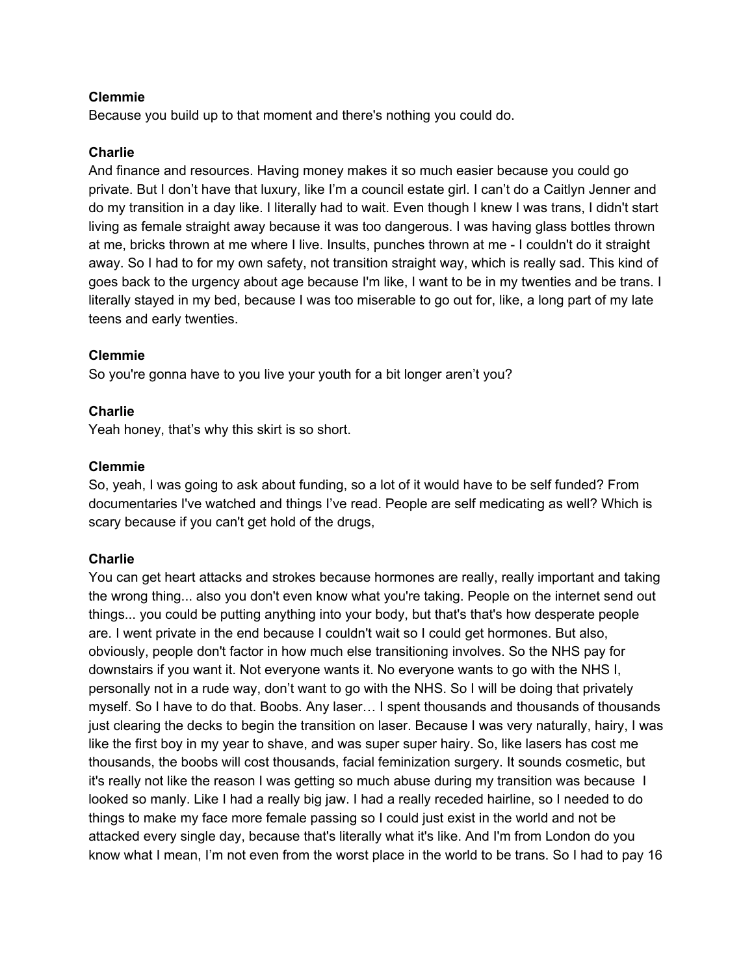Because you build up to that moment and there's nothing you could do.

#### **Charlie**

And finance and resources. Having money makes it so much easier because you could go private. But I don't have that luxury, like I'm a council estate girl. I can't do a Caitlyn Jenner and do my transition in a day like. I literally had to wait. Even though I knew I was trans, I didn't start living as female straight away because it was too dangerous. I was having glass bottles thrown at me, bricks thrown at me where I live. Insults, punches thrown at me - I couldn't do it straight away. So I had to for my own safety, not transition straight way, which is really sad. This kind of goes back to the urgency about age because I'm like, I want to be in my twenties and be trans. I literally stayed in my bed, because I was too miserable to go out for, like, a long part of my late teens and early twenties.

#### **Clemmie**

So you're gonna have to you live your youth for a bit longer aren't you?

#### **Charlie**

Yeah honey, that's why this skirt is so short.

#### **Clemmie**

So, yeah, I was going to ask about funding, so a lot of it would have to be self funded? From documentaries I've watched and things I've read. People are self medicating as well? Which is scary because if you can't get hold of the drugs,

#### **Charlie**

You can get heart attacks and strokes because hormones are really, really important and taking the wrong thing... also you don't even know what you're taking. People on the internet send out things... you could be putting anything into your body, but that's that's how desperate people are. I went private in the end because I couldn't wait so I could get hormones. But also, obviously, people don't factor in how much else transitioning involves. So the NHS pay for downstairs if you want it. Not everyone wants it. No everyone wants to go with the NHS I, personally not in a rude way, don't want to go with the NHS. So I will be doing that privately myself. So I have to do that. Boobs. Any laser… I spent thousands and thousands of thousands just clearing the decks to begin the transition on laser. Because I was very naturally, hairy, I was like the first boy in my year to shave, and was super super hairy. So, like lasers has cost me thousands, the boobs will cost thousands, facial feminization surgery. It sounds cosmetic, but it's really not like the reason I was getting so much abuse during my transition was because I looked so manly. Like I had a really big jaw. I had a really receded hairline, so I needed to do things to make my face more female passing so I could just exist in the world and not be attacked every single day, because that's literally what it's like. And I'm from London do you know what I mean, I'm not even from the worst place in the world to be trans. So I had to pay 16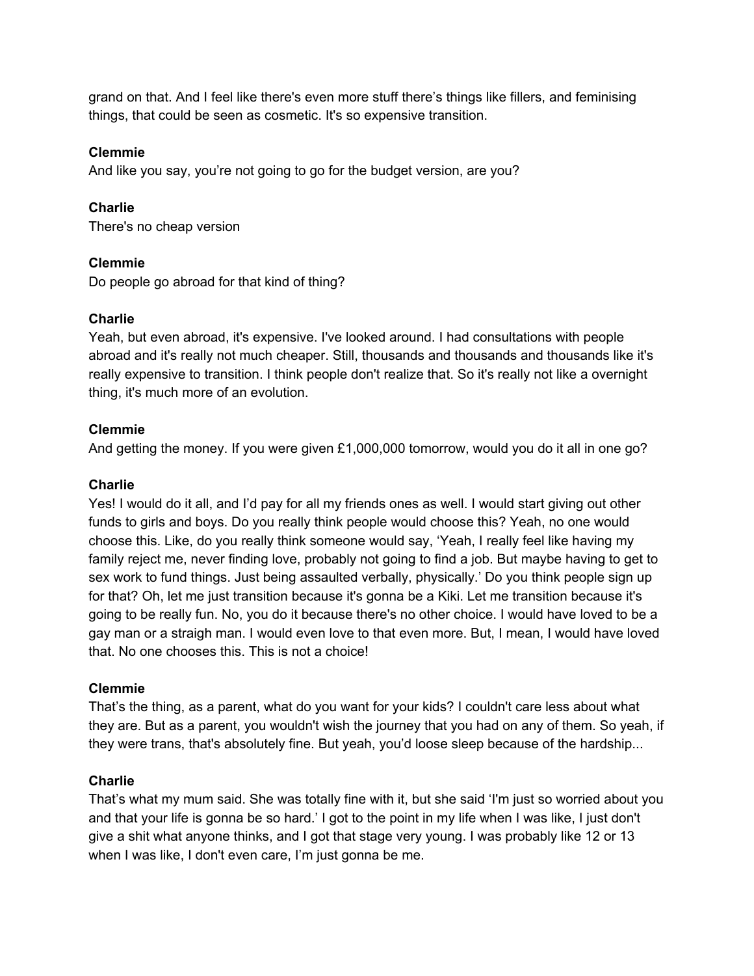grand on that. And I feel like there's even more stuff there's things like fillers, and feminising things, that could be seen as cosmetic. It's so expensive transition.

## **Clemmie**

And like you say, you're not going to go for the budget version, are you?

## **Charlie**

There's no cheap version

## **Clemmie**

Do people go abroad for that kind of thing?

## **Charlie**

Yeah, but even abroad, it's expensive. I've looked around. I had consultations with people abroad and it's really not much cheaper. Still, thousands and thousands and thousands like it's really expensive to transition. I think people don't realize that. So it's really not like a overnight thing, it's much more of an evolution.

## **Clemmie**

And getting the money. If you were given £1,000,000 tomorrow, would you do it all in one go?

## **Charlie**

Yes! I would do it all, and I'd pay for all my friends ones as well. I would start giving out other funds to girls and boys. Do you really think people would choose this? Yeah, no one would choose this. Like, do you really think someone would say, 'Yeah, I really feel like having my family reject me, never finding love, probably not going to find a job. But maybe having to get to sex work to fund things. Just being assaulted verbally, physically.' Do you think people sign up for that? Oh, let me just transition because it's gonna be a Kiki. Let me transition because it's going to be really fun. No, you do it because there's no other choice. I would have loved to be a gay man or a straigh man. I would even love to that even more. But, I mean, I would have loved that. No one chooses this. This is not a choice!

## **Clemmie**

That's the thing, as a parent, what do you want for your kids? I couldn't care less about what they are. But as a parent, you wouldn't wish the journey that you had on any of them. So yeah, if they were trans, that's absolutely fine. But yeah, you'd loose sleep because of the hardship...

#### **Charlie**

That's what my mum said. She was totally fine with it, but she said 'I'm just so worried about you and that your life is gonna be so hard.' I got to the point in my life when I was like, I just don't give a shit what anyone thinks, and I got that stage very young. I was probably like 12 or 13 when I was like, I don't even care, I'm just gonna be me.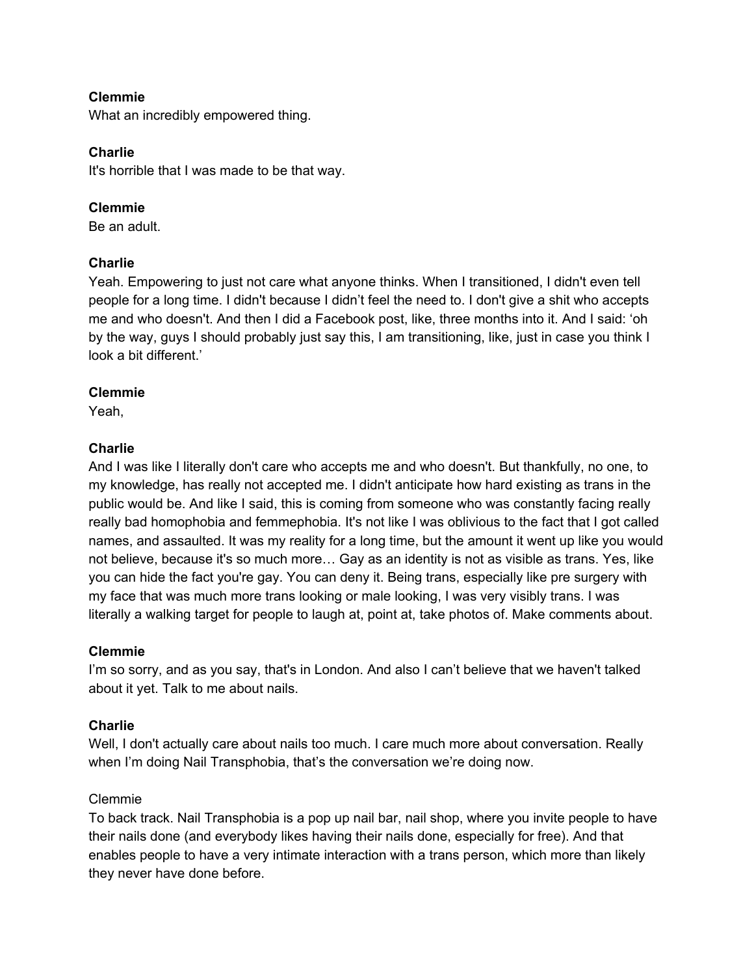What an incredibly empowered thing.

#### **Charlie**

It's horrible that I was made to be that way.

#### **Clemmie**

Be an adult.

## **Charlie**

Yeah. Empowering to just not care what anyone thinks. When I transitioned, I didn't even tell people for a long time. I didn't because I didn't feel the need to. I don't give a shit who accepts me and who doesn't. And then I did a Facebook post, like, three months into it. And I said: 'oh by the way, guys I should probably just say this, I am transitioning, like, just in case you think I look a bit different.'

## **Clemmie**

Yeah,

#### **Charlie**

And I was like I literally don't care who accepts me and who doesn't. But thankfully, no one, to my knowledge, has really not accepted me. I didn't anticipate how hard existing as trans in the public would be. And like I said, this is coming from someone who was constantly facing really really bad homophobia and femmephobia. It's not like I was oblivious to the fact that I got called names, and assaulted. It was my reality for a long time, but the amount it went up like you would not believe, because it's so much more… Gay as an identity is not as visible as trans. Yes, like you can hide the fact you're gay. You can deny it. Being trans, especially like pre surgery with my face that was much more trans looking or male looking, I was very visibly trans. I was literally a walking target for people to laugh at, point at, take photos of. Make comments about.

#### **Clemmie**

I'm so sorry, and as you say, that's in London. And also I can't believe that we haven't talked about it yet. Talk to me about nails.

#### **Charlie**

Well, I don't actually care about nails too much. I care much more about conversation. Really when I'm doing Nail Transphobia, that's the conversation we're doing now.

#### Clemmie

To back track. Nail Transphobia is a pop up nail bar, nail shop, where you invite people to have their nails done (and everybody likes having their nails done, especially for free). And that enables people to have a very intimate interaction with a trans person, which more than likely they never have done before.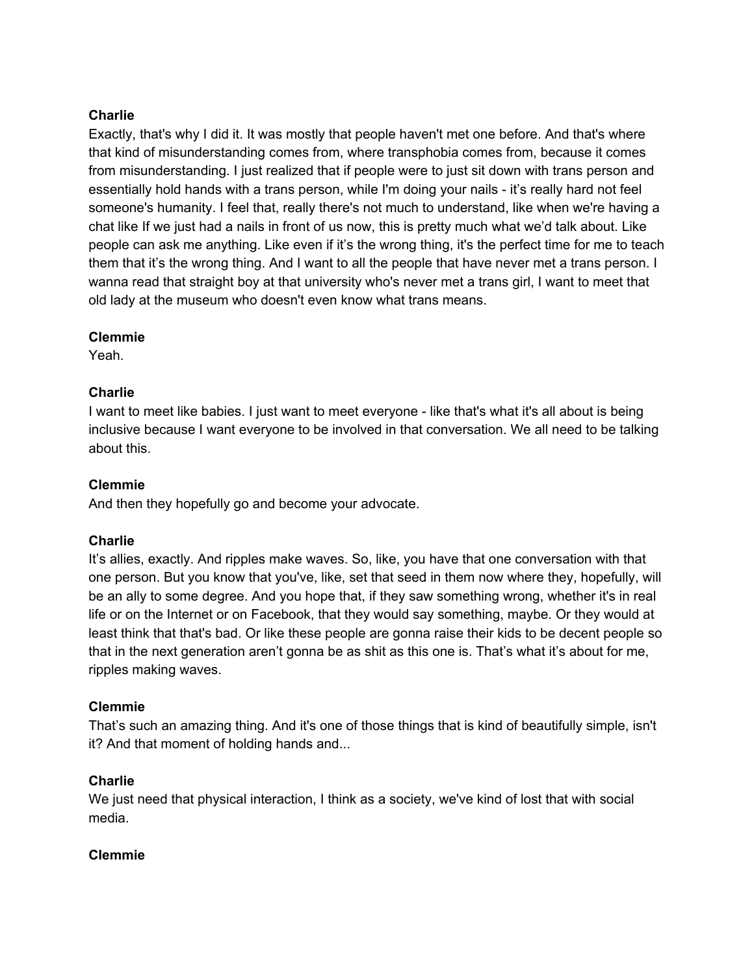## **Charlie**

Exactly, that's why I did it. It was mostly that people haven't met one before. And that's where that kind of misunderstanding comes from, where transphobia comes from, because it comes from misunderstanding. I just realized that if people were to just sit down with trans person and essentially hold hands with a trans person, while I'm doing your nails - it's really hard not feel someone's humanity. I feel that, really there's not much to understand, like when we're having a chat like If we just had a nails in front of us now, this is pretty much what we'd talk about. Like people can ask me anything. Like even if it's the wrong thing, it's the perfect time for me to teach them that it's the wrong thing. And I want to all the people that have never met a trans person. I wanna read that straight boy at that university who's never met a trans girl, I want to meet that old lady at the museum who doesn't even know what trans means.

## **Clemmie**

Yeah.

## **Charlie**

I want to meet like babies. I just want to meet everyone - like that's what it's all about is being inclusive because I want everyone to be involved in that conversation. We all need to be talking about this.

## **Clemmie**

And then they hopefully go and become your advocate.

#### **Charlie**

It's allies, exactly. And ripples make waves. So, like, you have that one conversation with that one person. But you know that you've, like, set that seed in them now where they, hopefully, will be an ally to some degree. And you hope that, if they saw something wrong, whether it's in real life or on the Internet or on Facebook, that they would say something, maybe. Or they would at least think that that's bad. Or like these people are gonna raise their kids to be decent people so that in the next generation aren't gonna be as shit as this one is. That's what it's about for me, ripples making waves.

#### **Clemmie**

That's such an amazing thing. And it's one of those things that is kind of beautifully simple, isn't it? And that moment of holding hands and...

#### **Charlie**

We just need that physical interaction, I think as a society, we've kind of lost that with social media.

#### **Clemmie**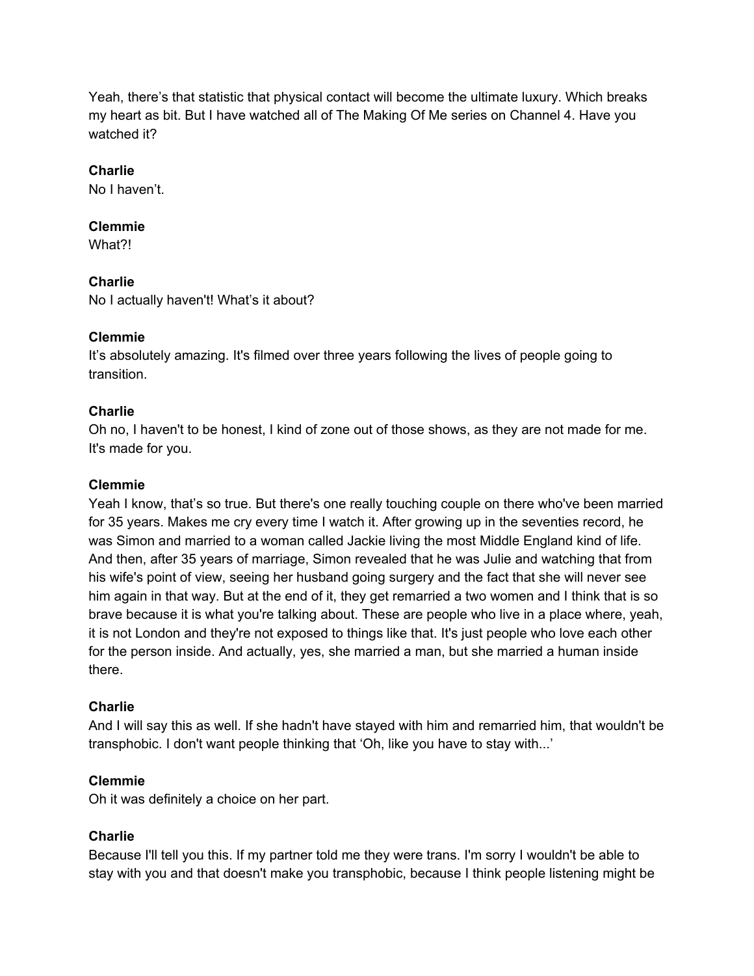Yeah, there's that statistic that physical contact will become the ultimate luxury. Which breaks my heart as bit. But I have watched all of The Making Of Me series on Channel 4. Have you watched it?

## **Charlie**

No I haven't.

## **Clemmie**

What?!

## **Charlie**

No I actually haven't! What's it about?

## **Clemmie**

It's absolutely amazing. It's filmed over three years following the lives of people going to transition.

## **Charlie**

Oh no, I haven't to be honest, I kind of zone out of those shows, as they are not made for me. It's made for you.

## **Clemmie**

Yeah I know, that's so true. But there's one really touching couple on there who've been married for 35 years. Makes me cry every time I watch it. After growing up in the seventies record, he was Simon and married to a woman called Jackie living the most Middle England kind of life. And then, after 35 years of marriage, Simon revealed that he was Julie and watching that from his wife's point of view, seeing her husband going surgery and the fact that she will never see him again in that way. But at the end of it, they get remarried a two women and I think that is so brave because it is what you're talking about. These are people who live in a place where, yeah, it is not London and they're not exposed to things like that. It's just people who love each other for the person inside. And actually, yes, she married a man, but she married a human inside there.

#### **Charlie**

And I will say this as well. If she hadn't have stayed with him and remarried him, that wouldn't be transphobic. I don't want people thinking that 'Oh, like you have to stay with...'

#### **Clemmie**

Oh it was definitely a choice on her part.

## **Charlie**

Because I'll tell you this. If my partner told me they were trans. I'm sorry I wouldn't be able to stay with you and that doesn't make you transphobic, because I think people listening might be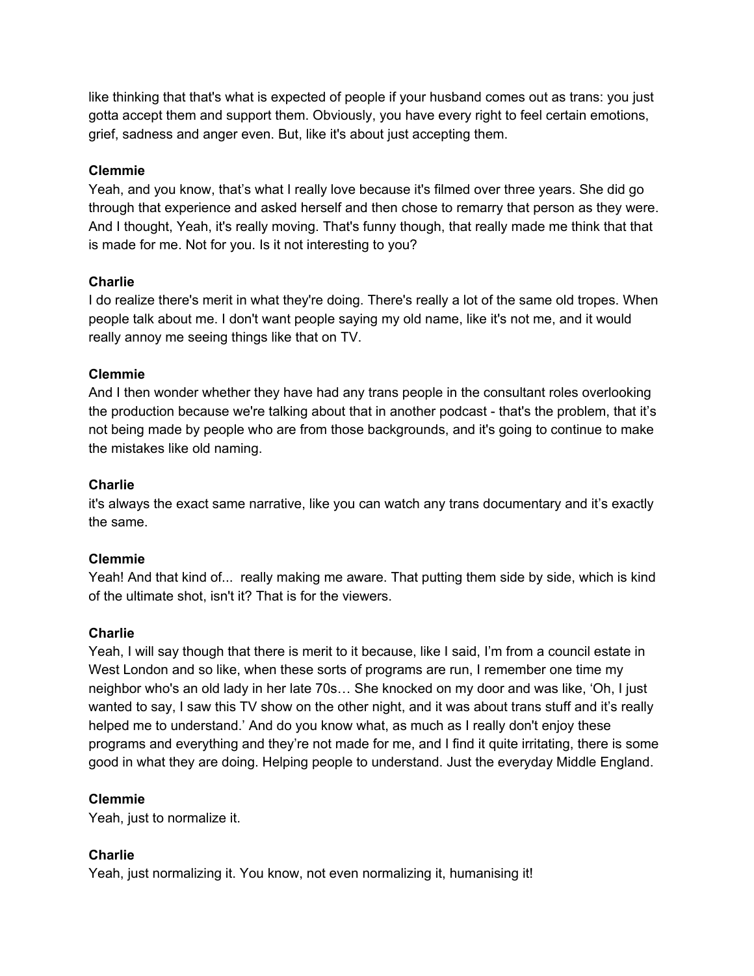like thinking that that's what is expected of people if your husband comes out as trans: you just gotta accept them and support them. Obviously, you have every right to feel certain emotions, grief, sadness and anger even. But, like it's about just accepting them.

## **Clemmie**

Yeah, and you know, that's what I really love because it's filmed over three years. She did go through that experience and asked herself and then chose to remarry that person as they were. And I thought, Yeah, it's really moving. That's funny though, that really made me think that that is made for me. Not for you. Is it not interesting to you?

## **Charlie**

I do realize there's merit in what they're doing. There's really a lot of the same old tropes. When people talk about me. I don't want people saying my old name, like it's not me, and it would really annoy me seeing things like that on TV.

## **Clemmie**

And I then wonder whether they have had any trans people in the consultant roles overlooking the production because we're talking about that in another podcast - that's the problem, that it's not being made by people who are from those backgrounds, and it's going to continue to make the mistakes like old naming.

## **Charlie**

it's always the exact same narrative, like you can watch any trans documentary and it's exactly the same.

#### **Clemmie**

Yeah! And that kind of... really making me aware. That putting them side by side, which is kind of the ultimate shot, isn't it? That is for the viewers.

#### **Charlie**

Yeah, I will say though that there is merit to it because, like I said, I'm from a council estate in West London and so like, when these sorts of programs are run, I remember one time my neighbor who's an old lady in her late 70s… She knocked on my door and was like, 'Oh, I just wanted to say, I saw this TV show on the other night, and it was about trans stuff and it's really helped me to understand.' And do you know what, as much as I really don't enjoy these programs and everything and they're not made for me, and I find it quite irritating, there is some good in what they are doing. Helping people to understand. Just the everyday Middle England.

#### **Clemmie**

Yeah, just to normalize it.

## **Charlie**

Yeah, just normalizing it. You know, not even normalizing it, humanising it!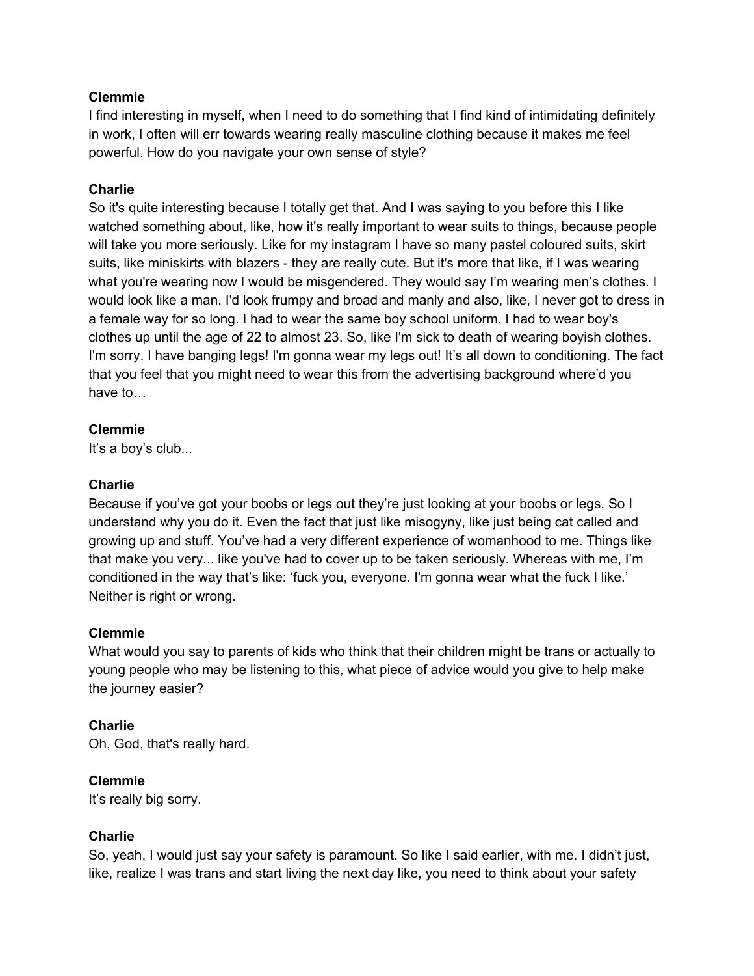I find interesting in myself, when I need to do something that I find kind of intimidating definitely in work, I often will err towards wearing really masculine clothing because it makes me feel powerful. How do you navigate your own sense of style?

#### **Charlie**

So it's quite interesting because I totally get that. And I was saying to you before this I like watched something about, like, how it's really important to wear suits to things, because people will take you more seriously. Like for my instagram I have so many pastel coloured suits, skirt suits, like miniskirts with blazers - they are really cute. But it's more that like, if I was wearing what you're wearing now I would be misgendered. They would say I'm wearing men's clothes. I would look like a man, I'd look frumpy and broad and manly and also, like, I never got to dress in a female way for so long. I had to wear the same boy school uniform. I had to wear boy's clothes up until the age of 22 to almost 23. So, like I'm sick to death of wearing boyish clothes. I'm sorry. I have banging legs! I'm gonna wear my legs out! It's all down to conditioning. The fact that you feel that you might need to wear this from the advertising background where'd you have to…

## **Clemmie**

It's a boy's club...

## **Charlie**

Because if you've got your boobs or legs out they're just looking at your boobs or legs. So I understand why you do it. Even the fact that just like misogyny, like just being cat called and growing up and stuff. You've had a very different experience of womanhood to me. Things like that make you very... like you've had to cover up to be taken seriously. Whereas with me, I'm conditioned in the way that's like: 'fuck you, everyone. I'm gonna wear what the fuck I like.' Neither is right or wrong.

#### **Clemmie**

What would you say to parents of kids who think that their children might be trans or actually to young people who may be listening to this, what piece of advice would you give to help make the journey easier?

## **Charlie**

Oh, God, that's really hard.

## **Clemmie**

It's really big sorry.

#### **Charlie**

So, yeah, I would just say your safety is paramount. So like I said earlier, with me. I didn't just, like, realize I was trans and start living the next day like, you need to think about your safety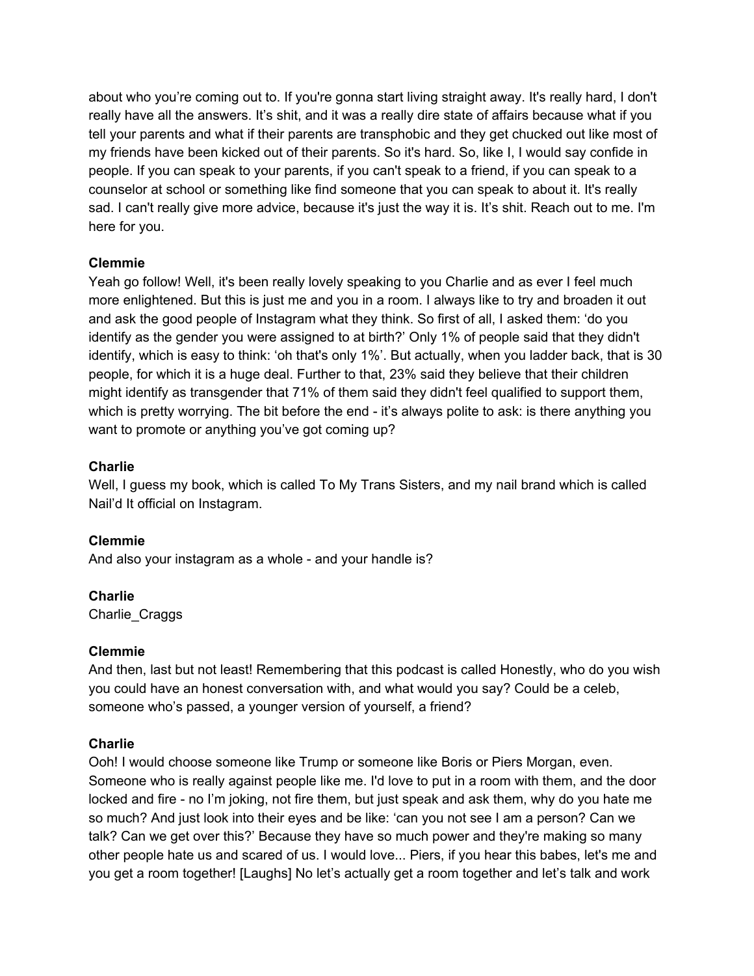about who you're coming out to. If you're gonna start living straight away. It's really hard, I don't really have all the answers. It's shit, and it was a really dire state of affairs because what if you tell your parents and what if their parents are transphobic and they get chucked out like most of my friends have been kicked out of their parents. So it's hard. So, like I, I would say confide in people. If you can speak to your parents, if you can't speak to a friend, if you can speak to a counselor at school or something like find someone that you can speak to about it. It's really sad. I can't really give more advice, because it's just the way it is. It's shit. Reach out to me. I'm here for you.

## **Clemmie**

Yeah go follow! Well, it's been really lovely speaking to you Charlie and as ever I feel much more enlightened. But this is just me and you in a room. I always like to try and broaden it out and ask the good people of Instagram what they think. So first of all, I asked them: 'do you identify as the gender you were assigned to at birth?' Only 1% of people said that they didn't identify, which is easy to think: 'oh that's only 1%'. But actually, when you ladder back, that is 30 people, for which it is a huge deal. Further to that, 23% said they believe that their children might identify as transgender that 71% of them said they didn't feel qualified to support them, which is pretty worrying. The bit before the end - it's always polite to ask: is there anything you want to promote or anything you've got coming up?

## **Charlie**

Well, I guess my book, which is called To My Trans Sisters, and my nail brand which is called Nail'd It official on Instagram.

**Clemmie** And also your instagram as a whole - and your handle is?

**Charlie** Charlie\_Craggs

#### **Clemmie**

And then, last but not least! Remembering that this podcast is called Honestly, who do you wish you could have an honest conversation with, and what would you say? Could be a celeb, someone who's passed, a younger version of yourself, a friend?

#### **Charlie**

Ooh! I would choose someone like Trump or someone like Boris or Piers Morgan, even. Someone who is really against people like me. I'd love to put in a room with them, and the door locked and fire - no I'm joking, not fire them, but just speak and ask them, why do you hate me so much? And just look into their eyes and be like: 'can you not see I am a person? Can we talk? Can we get over this?' Because they have so much power and they're making so many other people hate us and scared of us. I would love... Piers, if you hear this babes, let's me and you get a room together! [Laughs] No let's actually get a room together and let's talk and work